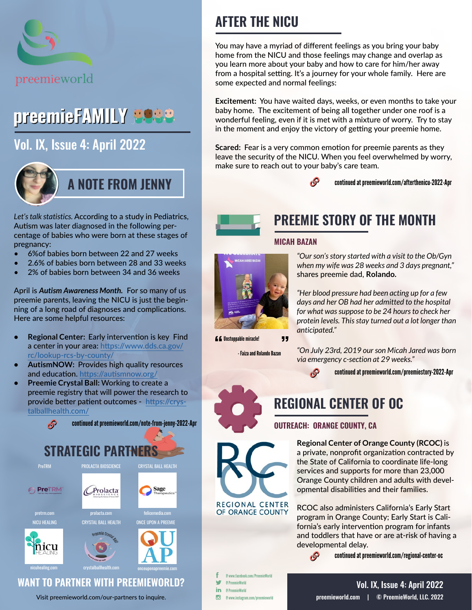

# preemieFAMILY EOSO

# [Vol. IX, Issue 4: April 2022](https://preemieworld.com/preemie-family-digital-issues/)



*Let's talk statistics.* According to a study in Pediatrics, Autism was later diagnosed in the following percentage of babies who were born at these stages of pregnancy:

- 6%of babies born between 22 and 27 weeks
- 2.6% of babies born between 28 and 33 weeks
- 2% of babies born between 34 and 36 weeks

April is *Autism Awareness Month.* For so many of us preemie parents, leaving the NICU is just the beginning of a long road of diagnoses and complications. Here are some helpful resources:

- **• Regional Center:** Early intervention is key Find a center in your area: [https://www.dds.ca.gov/](https://www.dds.ca.gov/rc/lookup-rcs-by-county/ ) [rc/lookup-rcs-by-county/](https://www.dds.ca.gov/rc/lookup-rcs-by-county/ )
- **• AutismNOW:** Provides high quality resources and education.<https://autismnow.org/>
- **• Preemie Crystal Ball:** Working to create a preemie registry that will power the research to provide better patient outcomes - [https://crys](https://crystalballhealth.com/)[talballhealth.com/](https://crystalballhealth.com/)



# **AFTER THE NICU**

You may have a myriad of different feelings as you bring your baby home from the NICU and those feelings may change and overlap as you learn more about your baby and how to care for him/her away from a hospital setting. It's a journey for your whole family. Here are some expected and normal feelings:

**Excitement:** You have waited days, weeks, or even months to take your baby home. The excitement of being all together under one roof is a wonderful feeling, even if it is met with a mixture of worry. Try to stay in the moment and enjoy the victory of getting your preemie home.

**Scared:** Fear is a very common emotion for preemie parents as they leave the security of the NICU. When you feel overwhelmed by worry, make sure to reach out to your baby's care team.

 $\mathcal{S}$ 

continued a[t preemieworld.com/afterthenicu-2022-A](https://preemieworld.com/afterthenicu-2022-Apr )pr



# **PREEMIE STORY OF THE MONTH**

### **MICAH BAZAN**



*"Her blood pressure had been acting up for a few days and her OB had her admitted to the hospital for what was suppose to be 24 hours to check her protein levels. This stay turned out a lot longer than anticipated."*

**LC** Instanable miracle!

- Faiza and Rolando Bazan

*"On July 23rd, 2019 our son Micah Jared was born via emergency c-section at 29 weeks."*

continued at [preemieworld.com/preemiestory-2022-A](https://preemieworld.com/preemiestory-2022-Apr)pr

# **REGIONAL CENTER OF OC**

### **OUTREACH: ORANGE COUNTY, CA**

 $\mathcal{S}$ 

**Regional Center of Orange County (RCOC)** is a private, nonprofit organization contracted by the State of California to coordinate life-long services and supports for more than 23,000 Orange County children and adults with developmental disabilities and their families.

RCOC also administers California's Early Start program in Orange County; Early Start is California's early intervention program for infants and toddlers that have or are at-risk of having a developmental delay.

continued at [preemieworld.com/r](https://preemieworld.com/regional-center-oc)egional-center-oc

@ www.facebook.com/PreemieWorld @ PreemieWorld in. @ PreemieWorld  $\overline{G}$ @ www.instagram.com/preemieworld

**REGIONAL CENTER** OF ORANGE COUNTY



"